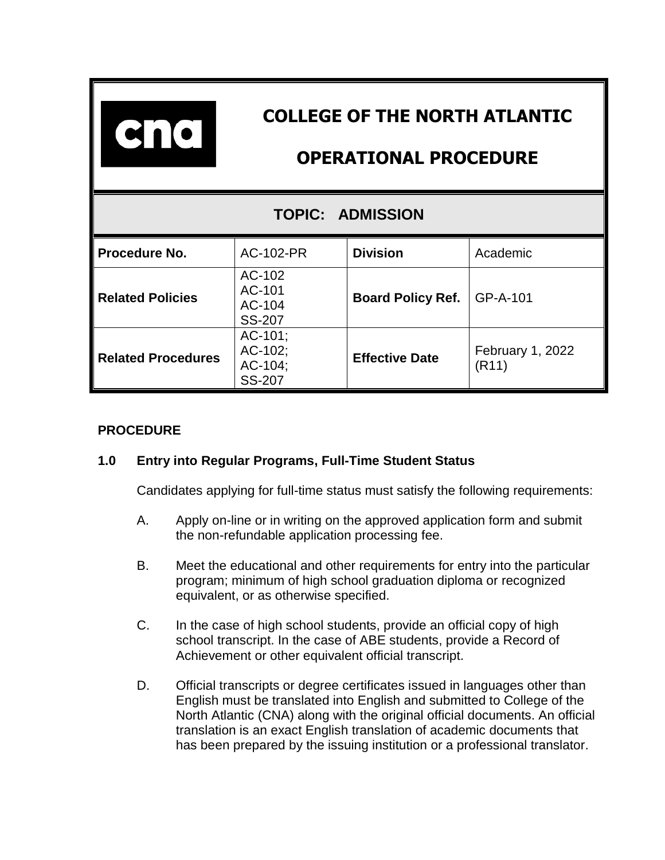| $\bullet$ $\bullet$       | <b>COLLEGE OF THE NORTH ATLANTIC</b><br><b>OPERATIONAL PROCEDURE</b> |                          |                           |
|---------------------------|----------------------------------------------------------------------|--------------------------|---------------------------|
| <b>TOPIC: ADMISSION</b>   |                                                                      |                          |                           |
| Procedure No.             | AC-102-PR                                                            | <b>Division</b>          | Academic                  |
| <b>Related Policies</b>   | AC-102<br>AC-101<br>AC-104<br><b>SS-207</b>                          | <b>Board Policy Ref.</b> | GP-A-101                  |
| <b>Related Procedures</b> | $AC-101$ ;<br>AC-102;<br>AC-104;<br><b>SS-207</b>                    | <b>Effective Date</b>    | February 1, 2022<br>(R11) |

# **PROCEDURE**

## **1.0 Entry into Regular Programs, Full-Time Student Status**

Candidates applying for full-time status must satisfy the following requirements:

- A. Apply on-line or in writing on the approved application form and submit the non-refundable application processing fee.
- B. Meet the educational and other requirements for entry into the particular program; minimum of high school graduation diploma or recognized equivalent, or as otherwise specified.
- C. In the case of high school students, provide an official copy of high school transcript. In the case of ABE students, provide a Record of Achievement or other equivalent official transcript.
- D. Official transcripts or degree certificates issued in languages other than English must be translated into English and submitted to College of the North Atlantic (CNA) along with the original official documents. An official translation is an exact English translation of academic documents that has been prepared by the issuing institution or a professional translator.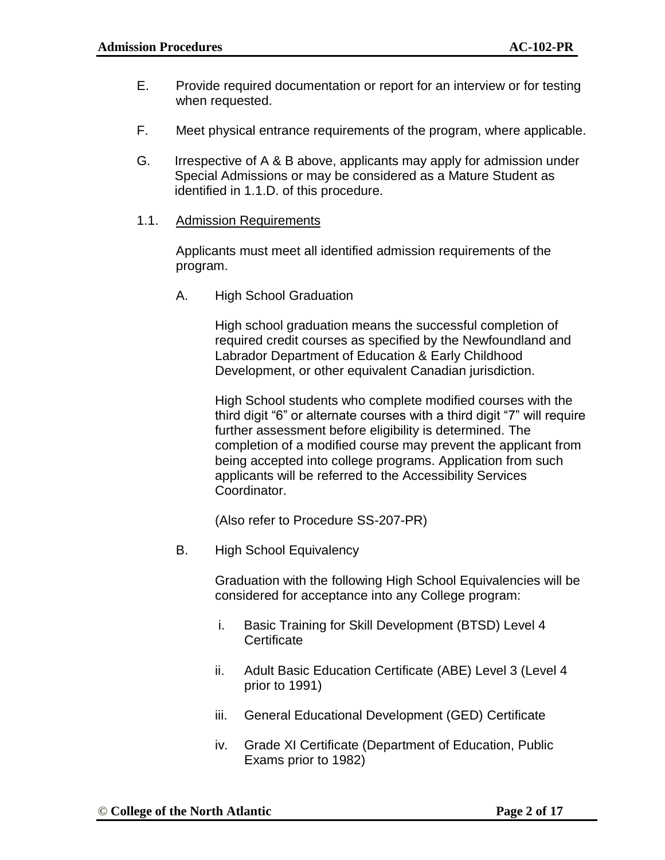- E. Provide required documentation or report for an interview or for testing when requested.
- F. Meet physical entrance requirements of the program, where applicable.
- G. Irrespective of A & B above, applicants may apply for admission under Special Admissions or may be considered as a Mature Student as identified in 1.1.D. of this procedure.
- 1.1. Admission Requirements

Applicants must meet all identified admission requirements of the program.

A. High School Graduation

High school graduation means the successful completion of required credit courses as specified by the Newfoundland and Labrador Department of Education & Early Childhood Development, or other equivalent Canadian jurisdiction.

High School students who complete modified courses with the third digit "6" or alternate courses with a third digit "7" will require further assessment before eligibility is determined. The completion of a modified course may prevent the applicant from being accepted into college programs. Application from such applicants will be referred to the Accessibility Services Coordinator.

(Also refer to Procedure SS-207-PR)

B. High School Equivalency

Graduation with the following High School Equivalencies will be considered for acceptance into any College program:

- i. Basic Training for Skill Development (BTSD) Level 4 **Certificate**
- ii. Adult Basic Education Certificate (ABE) Level 3 (Level 4 prior to 1991)
- iii. General Educational Development (GED) Certificate
- iv. Grade XI Certificate (Department of Education, Public Exams prior to 1982)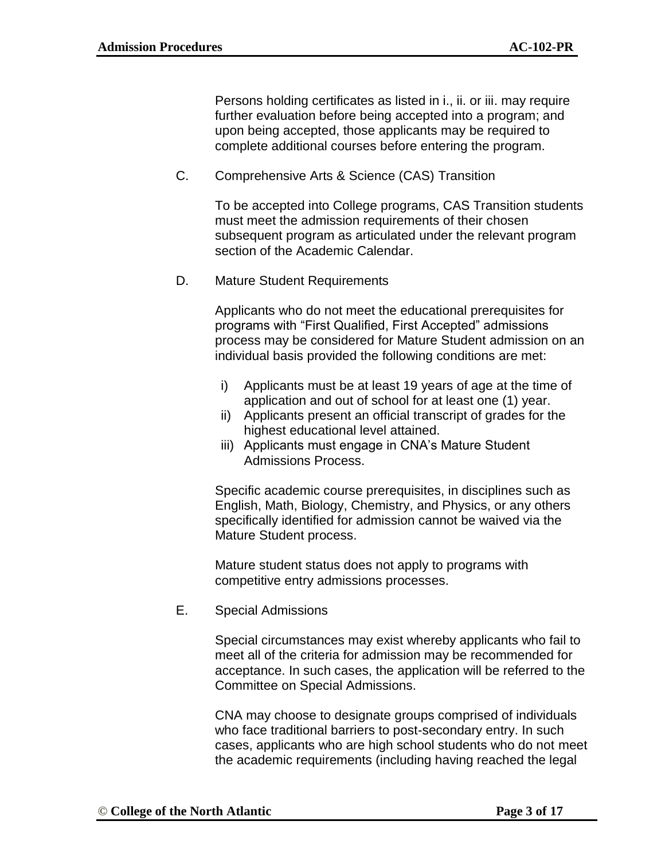Persons holding certificates as listed in i., ii. or iii. may require further evaluation before being accepted into a program; and upon being accepted, those applicants may be required to complete additional courses before entering the program.

C. Comprehensive Arts & Science (CAS) Transition

To be accepted into College programs, CAS Transition students must meet the admission requirements of their chosen subsequent program as articulated under the relevant program section of the Academic Calendar.

D. Mature Student Requirements

Applicants who do not meet the educational prerequisites for programs with "First Qualified, First Accepted" admissions process may be considered for Mature Student admission on an individual basis provided the following conditions are met:

- i) Applicants must be at least 19 years of age at the time of application and out of school for at least one (1) year.
- ii) Applicants present an official transcript of grades for the highest educational level attained.
- iii) Applicants must engage in CNA's Mature Student Admissions Process.

Specific academic course prerequisites, in disciplines such as English, Math, Biology, Chemistry, and Physics, or any others specifically identified for admission cannot be waived via the Mature Student process.

Mature student status does not apply to programs with competitive entry admissions processes.

E. Special Admissions

Special circumstances may exist whereby applicants who fail to meet all of the criteria for admission may be recommended for acceptance. In such cases, the application will be referred to the Committee on Special Admissions.

CNA may choose to designate groups comprised of individuals who face traditional barriers to post-secondary entry. In such cases, applicants who are high school students who do not meet the academic requirements (including having reached the legal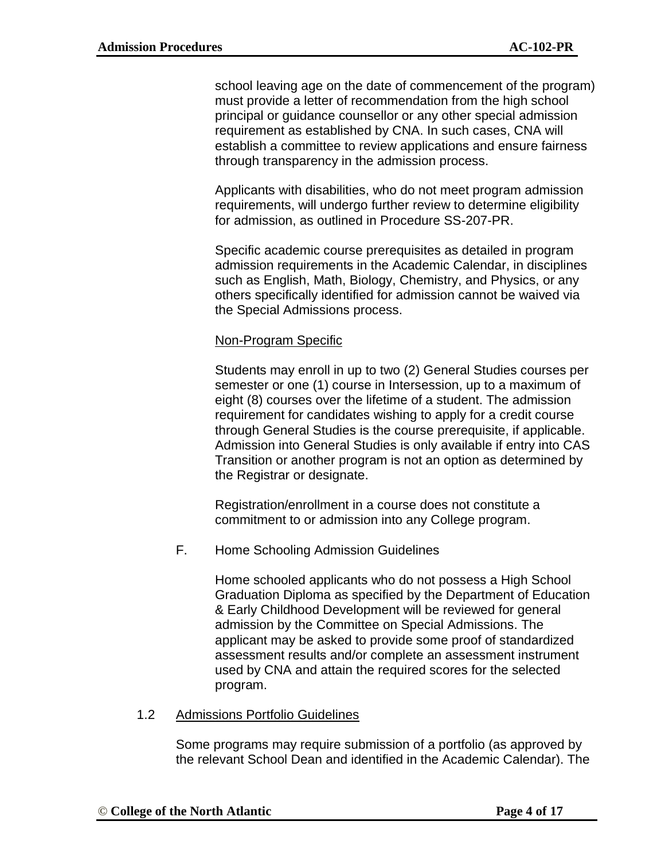school leaving age on the date of commencement of the program) must provide a letter of recommendation from the high school principal or guidance counsellor or any other special admission requirement as established by CNA. In such cases, CNA will establish a committee to review applications and ensure fairness through transparency in the admission process.

Applicants with disabilities, who do not meet program admission requirements, will undergo further review to determine eligibility for admission, as outlined in Procedure SS-207-PR.

Specific academic course prerequisites as detailed in program admission requirements in the Academic Calendar, in disciplines such as English, Math, Biology, Chemistry, and Physics, or any others specifically identified for admission cannot be waived via the Special Admissions process.

### Non-Program Specific

Students may enroll in up to two (2) General Studies courses per semester or one (1) course in Intersession, up to a maximum of eight (8) courses over the lifetime of a student. The admission requirement for candidates wishing to apply for a credit course through General Studies is the course prerequisite, if applicable. Admission into General Studies is only available if entry into CAS Transition or another program is not an option as determined by the Registrar or designate.

Registration/enrollment in a course does not constitute a commitment to or admission into any College program.

F. Home Schooling Admission Guidelines

Home schooled applicants who do not possess a High School Graduation Diploma as specified by the Department of Education & Early Childhood Development will be reviewed for general admission by the Committee on Special Admissions. The applicant may be asked to provide some proof of standardized assessment results and/or complete an assessment instrument used by CNA and attain the required scores for the selected program.

#### 1.2 Admissions Portfolio Guidelines

Some programs may require submission of a portfolio (as approved by the relevant School Dean and identified in the Academic Calendar). The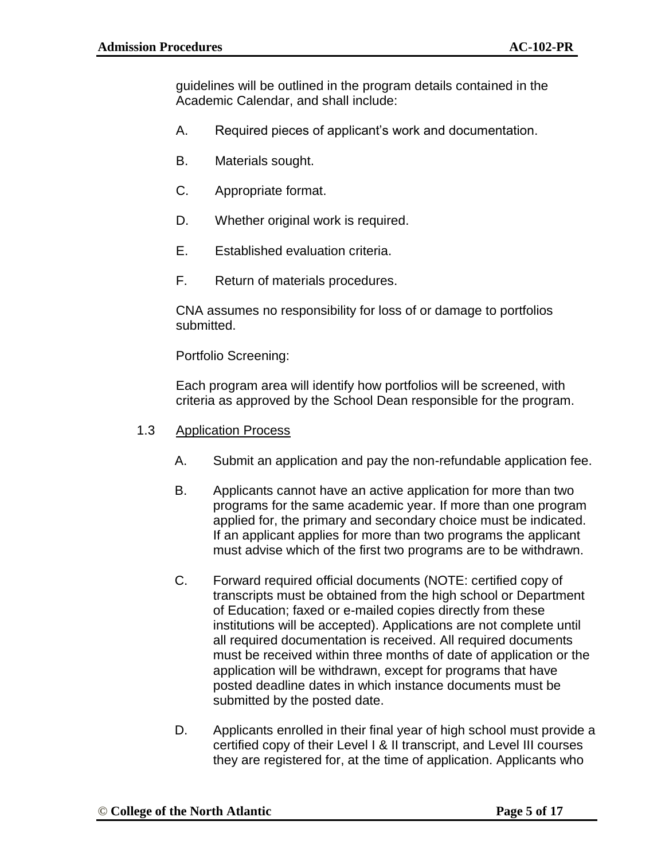guidelines will be outlined in the program details contained in the Academic Calendar, and shall include:

- A. Required pieces of applicant's work and documentation.
- B. Materials sought.
- C. Appropriate format.
- D. Whether original work is required.
- E. Established evaluation criteria.
- F. Return of materials procedures.

CNA assumes no responsibility for loss of or damage to portfolios submitted.

Portfolio Screening:

Each program area will identify how portfolios will be screened, with criteria as approved by the School Dean responsible for the program.

- 1.3 Application Process
	- A. Submit an application and pay the non-refundable application fee.
	- B. Applicants cannot have an active application for more than two programs for the same academic year. If more than one program applied for, the primary and secondary choice must be indicated. If an applicant applies for more than two programs the applicant must advise which of the first two programs are to be withdrawn.
	- C. Forward required official documents (NOTE: certified copy of transcripts must be obtained from the high school or Department of Education; faxed or e-mailed copies directly from these institutions will be accepted). Applications are not complete until all required documentation is received. All required documents must be received within three months of date of application or the application will be withdrawn, except for programs that have posted deadline dates in which instance documents must be submitted by the posted date.
	- D. Applicants enrolled in their final year of high school must provide a certified copy of their Level I & II transcript, and Level III courses they are registered for, at the time of application. Applicants who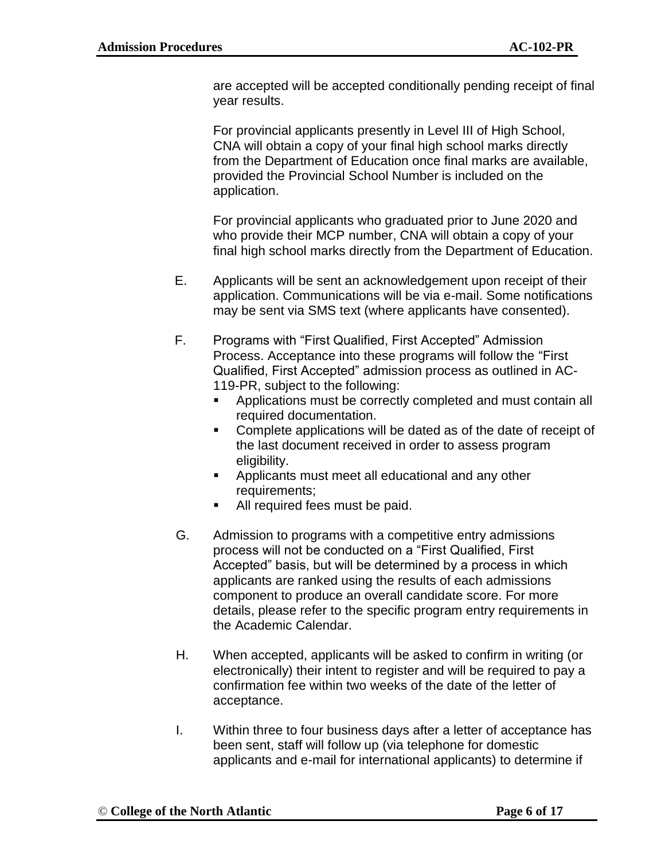are accepted will be accepted conditionally pending receipt of final year results.

For provincial applicants presently in Level III of High School, CNA will obtain a copy of your final high school marks directly from the Department of Education once final marks are available, provided the Provincial School Number is included on the application.

For provincial applicants who graduated prior to June 2020 and who provide their MCP number, CNA will obtain a copy of your final high school marks directly from the Department of Education.

- E. Applicants will be sent an acknowledgement upon receipt of their application. Communications will be via e-mail. Some notifications may be sent via SMS text (where applicants have consented).
- F. Programs with "First Qualified, First Accepted" Admission Process. Acceptance into these programs will follow the "First Qualified, First Accepted" admission process as outlined in AC-119-PR, subject to the following:
	- Applications must be correctly completed and must contain all required documentation.
	- Complete applications will be dated as of the date of receipt of the last document received in order to assess program eligibility.
	- **EXTE** Applicants must meet all educational and any other requirements;
	- All required fees must be paid.
- G. Admission to programs with a competitive entry admissions process will not be conducted on a "First Qualified, First Accepted" basis, but will be determined by a process in which applicants are ranked using the results of each admissions component to produce an overall candidate score. For more details, please refer to the specific program entry requirements in the Academic Calendar.
- H. When accepted, applicants will be asked to confirm in writing (or electronically) their intent to register and will be required to pay a confirmation fee within two weeks of the date of the letter of acceptance.
- I. Within three to four business days after a letter of acceptance has been sent, staff will follow up (via telephone for domestic applicants and e-mail for international applicants) to determine if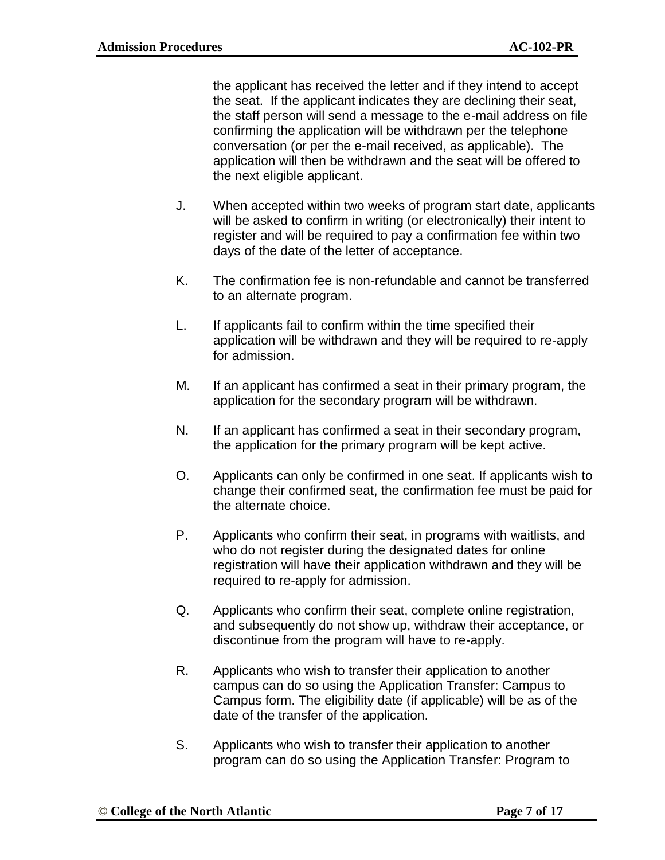the applicant has received the letter and if they intend to accept the seat. If the applicant indicates they are declining their seat, the staff person will send a message to the e-mail address on file confirming the application will be withdrawn per the telephone conversation (or per the e-mail received, as applicable). The application will then be withdrawn and the seat will be offered to the next eligible applicant.

- J. When accepted within two weeks of program start date, applicants will be asked to confirm in writing (or electronically) their intent to register and will be required to pay a confirmation fee within two days of the date of the letter of acceptance.
- K. The confirmation fee is non-refundable and cannot be transferred to an alternate program.
- L. If applicants fail to confirm within the time specified their application will be withdrawn and they will be required to re-apply for admission.
- M. If an applicant has confirmed a seat in their primary program, the application for the secondary program will be withdrawn.
- N. If an applicant has confirmed a seat in their secondary program, the application for the primary program will be kept active.
- O. Applicants can only be confirmed in one seat. If applicants wish to change their confirmed seat, the confirmation fee must be paid for the alternate choice.
- P. Applicants who confirm their seat, in programs with waitlists, and who do not register during the designated dates for online registration will have their application withdrawn and they will be required to re-apply for admission.
- Q. Applicants who confirm their seat, complete online registration, and subsequently do not show up, withdraw their acceptance, or discontinue from the program will have to re-apply.
- R. Applicants who wish to transfer their application to another campus can do so using the Application Transfer: Campus to Campus form. The eligibility date (if applicable) will be as of the date of the transfer of the application.
- S. Applicants who wish to transfer their application to another program can do so using the Application Transfer: Program to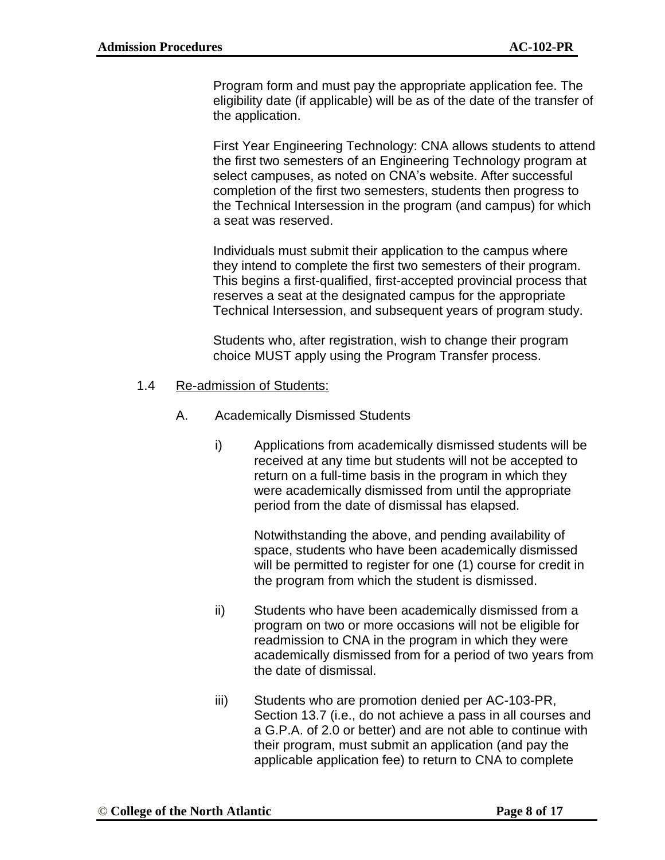Program form and must pay the appropriate application fee. The eligibility date (if applicable) will be as of the date of the transfer of the application.

First Year Engineering Technology: CNA allows students to attend the first two semesters of an Engineering Technology program at select campuses, as noted on CNA's website. After successful completion of the first two semesters, students then progress to the Technical Intersession in the program (and campus) for which a seat was reserved.

Individuals must submit their application to the campus where they intend to complete the first two semesters of their program. This begins a first-qualified, first-accepted provincial process that reserves a seat at the designated campus for the appropriate Technical Intersession, and subsequent years of program study.

Students who, after registration, wish to change their program choice MUST apply using the Program Transfer process.

### 1.4 Re-admission of Students:

- A. Academically Dismissed Students
	- i) Applications from academically dismissed students will be received at any time but students will not be accepted to return on a full-time basis in the program in which they were academically dismissed from until the appropriate period from the date of dismissal has elapsed.

Notwithstanding the above, and pending availability of space, students who have been academically dismissed will be permitted to register for one (1) course for credit in the program from which the student is dismissed.

- ii) Students who have been academically dismissed from a program on two or more occasions will not be eligible for readmission to CNA in the program in which they were academically dismissed from for a period of two years from the date of dismissal.
- iii) Students who are promotion denied per AC-103-PR, Section 13.7 (i.e., do not achieve a pass in all courses and a G.P.A. of 2.0 or better) and are not able to continue with their program, must submit an application (and pay the applicable application fee) to return to CNA to complete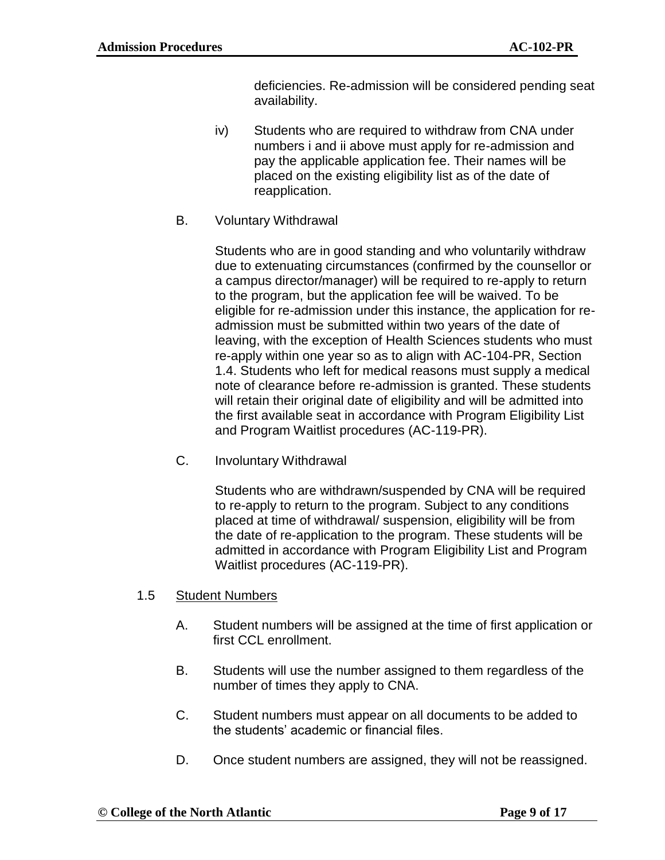deficiencies. Re-admission will be considered pending seat availability.

- iv) Students who are required to withdraw from CNA under numbers i and ii above must apply for re-admission and pay the applicable application fee. Their names will be placed on the existing eligibility list as of the date of reapplication.
- B. Voluntary Withdrawal

Students who are in good standing and who voluntarily withdraw due to extenuating circumstances (confirmed by the counsellor or a campus director/manager) will be required to re-apply to return to the program, but the application fee will be waived. To be eligible for re-admission under this instance, the application for readmission must be submitted within two years of the date of leaving, with the exception of Health Sciences students who must re-apply within one year so as to align with AC-104-PR, Section 1.4. Students who left for medical reasons must supply a medical note of clearance before re-admission is granted. These students will retain their original date of eligibility and will be admitted into the first available seat in accordance with Program Eligibility List and Program Waitlist procedures (AC-119-PR).

C. Involuntary Withdrawal

Students who are withdrawn/suspended by CNA will be required to re-apply to return to the program. Subject to any conditions placed at time of withdrawal/ suspension, eligibility will be from the date of re-application to the program. These students will be admitted in accordance with Program Eligibility List and Program Waitlist procedures (AC-119-PR).

- 1.5 Student Numbers
	- A. Student numbers will be assigned at the time of first application or first CCL enrollment.
	- B. Students will use the number assigned to them regardless of the number of times they apply to CNA.
	- C. Student numbers must appear on all documents to be added to the students' academic or financial files.
	- D. Once student numbers are assigned, they will not be reassigned.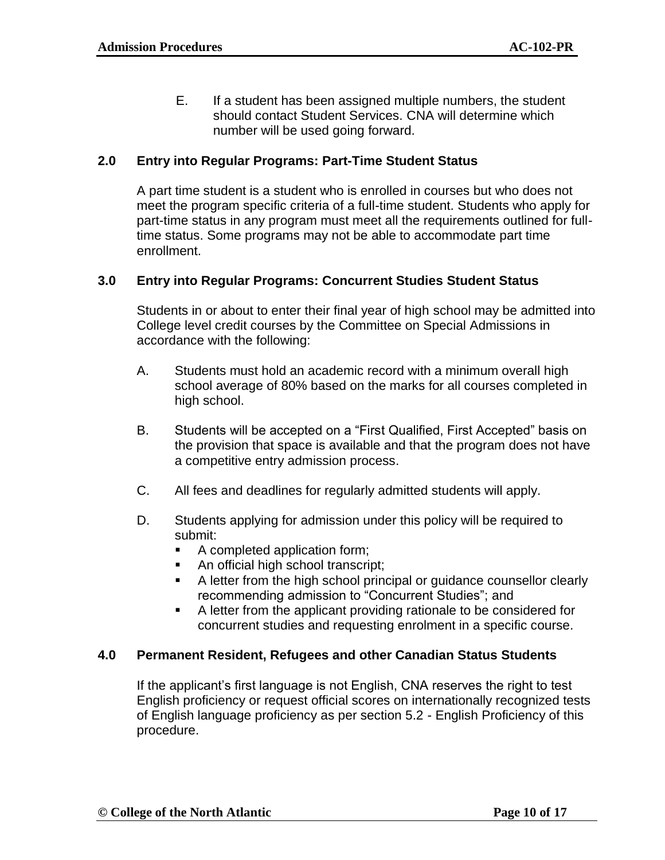E. If a student has been assigned multiple numbers, the student should contact Student Services. CNA will determine which number will be used going forward.

### **2.0 Entry into Regular Programs: Part-Time Student Status**

A part time student is a student who is enrolled in courses but who does not meet the program specific criteria of a full-time student. Students who apply for part-time status in any program must meet all the requirements outlined for fulltime status. Some programs may not be able to accommodate part time enrollment.

### **3.0 Entry into Regular Programs: Concurrent Studies Student Status**

Students in or about to enter their final year of high school may be admitted into College level credit courses by the Committee on Special Admissions in accordance with the following:

- A. Students must hold an academic record with a minimum overall high school average of 80% based on the marks for all courses completed in high school.
- B. Students will be accepted on a "First Qualified, First Accepted" basis on the provision that space is available and that the program does not have a competitive entry admission process.
- C. All fees and deadlines for regularly admitted students will apply.
- D. Students applying for admission under this policy will be required to submit:
	- A completed application form;
	- An official high school transcript;
	- A letter from the high school principal or guidance counsellor clearly recommending admission to "Concurrent Studies"; and
	- A letter from the applicant providing rationale to be considered for concurrent studies and requesting enrolment in a specific course.

#### **4.0 Permanent Resident, Refugees and other Canadian Status Students**

If the applicant's first language is not English, CNA reserves the right to test English proficiency or request official scores on internationally recognized tests of English language proficiency as per section 5.2 - English Proficiency of this procedure.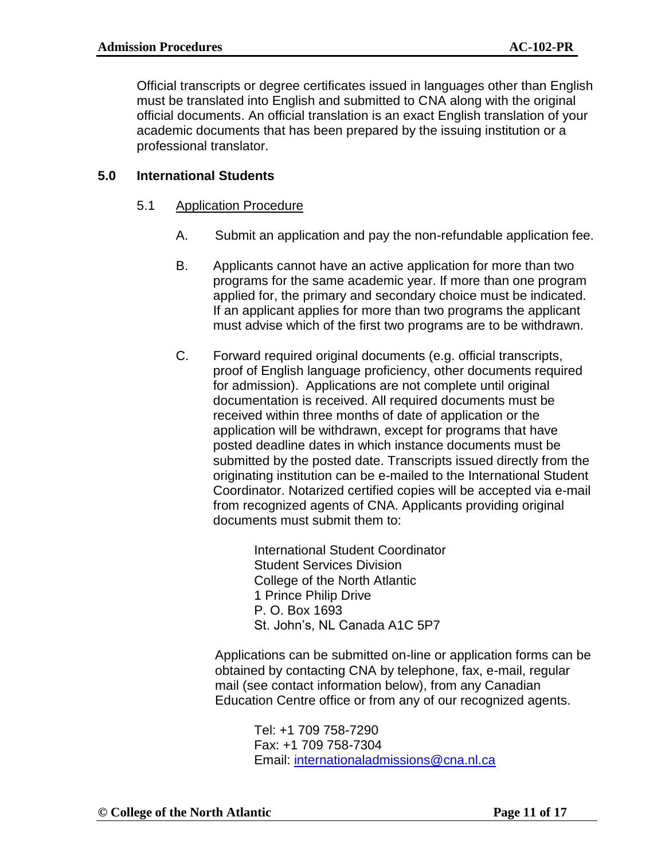Official transcripts or degree certificates issued in languages other than English must be translated into English and submitted to CNA along with the original official documents. An official translation is an exact English translation of your academic documents that has been prepared by the issuing institution or a professional translator.

## **5.0 International Students**

## 5.1 Application Procedure

- A. Submit an application and pay the non-refundable application fee.
- B. Applicants cannot have an active application for more than two programs for the same academic year. If more than one program applied for, the primary and secondary choice must be indicated. If an applicant applies for more than two programs the applicant must advise which of the first two programs are to be withdrawn.
- C. Forward required original documents (e.g. official transcripts, proof of English language proficiency, other documents required for admission). Applications are not complete until original documentation is received. All required documents must be received within three months of date of application or the application will be withdrawn, except for programs that have posted deadline dates in which instance documents must be submitted by the posted date. Transcripts issued directly from the originating institution can be e-mailed to the International Student Coordinator. Notarized certified copies will be accepted via e-mail from recognized agents of CNA. Applicants providing original documents must submit them to:

International Student Coordinator Student Services Division College of the North Atlantic 1 Prince Philip Drive P. O. Box 1693 St. John's, NL Canada A1C 5P7

Applications can be submitted on-line or application forms can be obtained by contacting CNA by telephone, fax, e-mail, regular mail (see contact information below), from any Canadian Education Centre office or from any of our recognized agents.

Tel: +1 709 758-7290 Fax: +1 709 758-7304 Email: [internationaladmissions@cna.nl.ca](mailto:internationaladmissions@cna.nl.ca)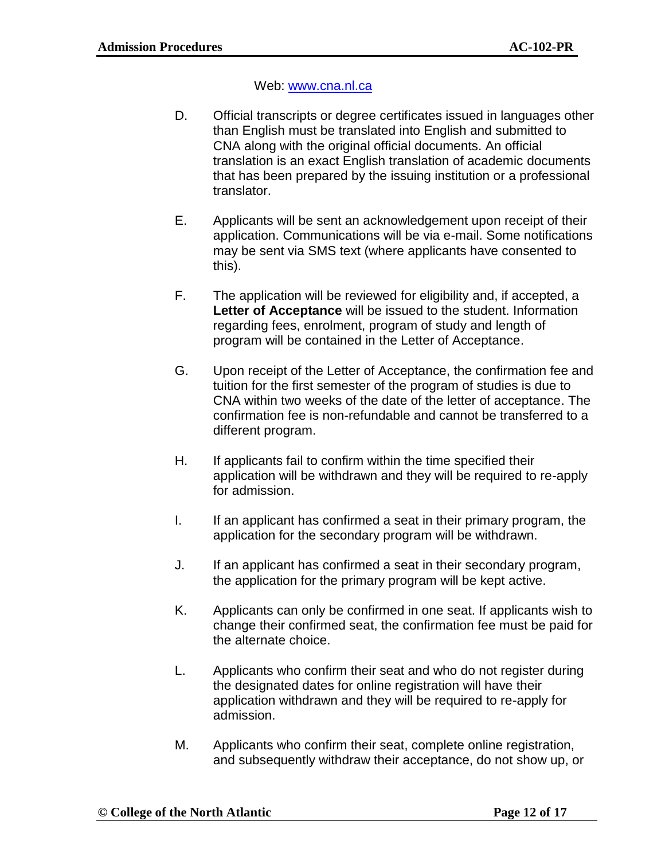### Web: [www.cna.nl.ca](http://www.cna.nl.ca/)

- D. Official transcripts or degree certificates issued in languages other than English must be translated into English and submitted to CNA along with the original official documents. An official translation is an exact English translation of academic documents that has been prepared by the issuing institution or a professional translator.
- E. Applicants will be sent an acknowledgement upon receipt of their application. Communications will be via e-mail. Some notifications may be sent via SMS text (where applicants have consented to this).
- F. The application will be reviewed for eligibility and, if accepted, a **Letter of Acceptance** will be issued to the student. Information regarding fees, enrolment, program of study and length of program will be contained in the Letter of Acceptance.
- G. Upon receipt of the Letter of Acceptance, the confirmation fee and tuition for the first semester of the program of studies is due to CNA within two weeks of the date of the letter of acceptance. The confirmation fee is non-refundable and cannot be transferred to a different program.
- H. If applicants fail to confirm within the time specified their application will be withdrawn and they will be required to re-apply for admission.
- I. If an applicant has confirmed a seat in their primary program, the application for the secondary program will be withdrawn.
- J. If an applicant has confirmed a seat in their secondary program, the application for the primary program will be kept active.
- K. Applicants can only be confirmed in one seat. If applicants wish to change their confirmed seat, the confirmation fee must be paid for the alternate choice.
- L. Applicants who confirm their seat and who do not register during the designated dates for online registration will have their application withdrawn and they will be required to re-apply for admission.
- M. Applicants who confirm their seat, complete online registration, and subsequently withdraw their acceptance, do not show up, or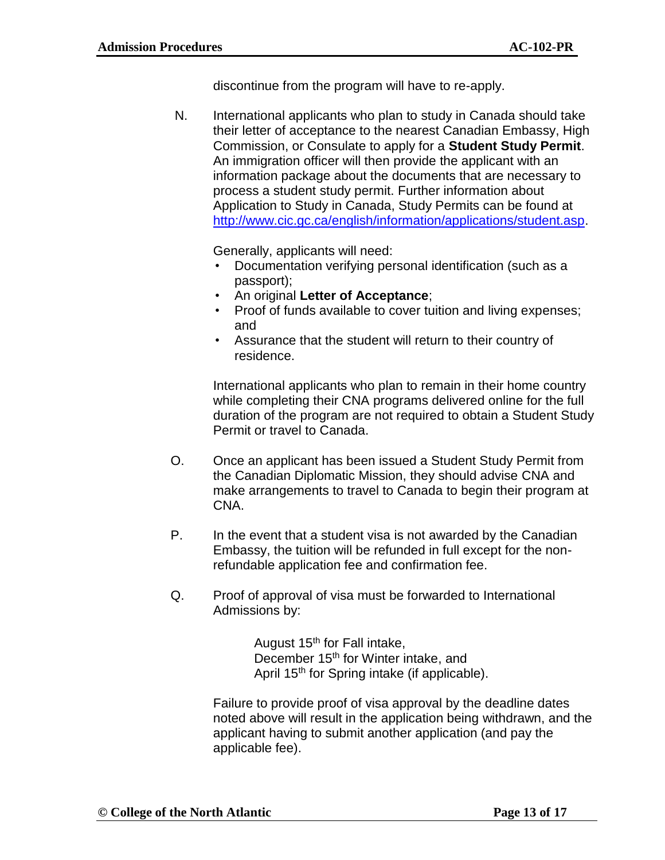discontinue from the program will have to re-apply.

N. International applicants who plan to study in Canada should take their letter of acceptance to the nearest Canadian Embassy, High Commission, or Consulate to apply for a **Student Study Permit**. An immigration officer will then provide the applicant with an information package about the documents that are necessary to process a student study permit. Further information about Application to Study in Canada, Study Permits can be found at [http://www.cic.gc.ca/english/information/applications/student.asp.](http://www.cic.gc.ca/english/information/applications/student.asp)

Generally, applicants will need:

- Documentation verifying personal identification (such as a passport);
- An original **Letter of Acceptance**;
- Proof of funds available to cover tuition and living expenses; and
- Assurance that the student will return to their country of residence.

International applicants who plan to remain in their home country while completing their CNA programs delivered online for the full duration of the program are not required to obtain a Student Study Permit or travel to Canada.

- O. Once an applicant has been issued a Student Study Permit from the Canadian Diplomatic Mission, they should advise CNA and make arrangements to travel to Canada to begin their program at CNA.
- P. In the event that a student visa is not awarded by the Canadian Embassy, the tuition will be refunded in full except for the nonrefundable application fee and confirmation fee.
- Q. Proof of approval of visa must be forwarded to International Admissions by:

August  $15<sup>th</sup>$  for Fall intake, December 15<sup>th</sup> for Winter intake, and April 15<sup>th</sup> for Spring intake (if applicable).

Failure to provide proof of visa approval by the deadline dates noted above will result in the application being withdrawn, and the applicant having to submit another application (and pay the applicable fee).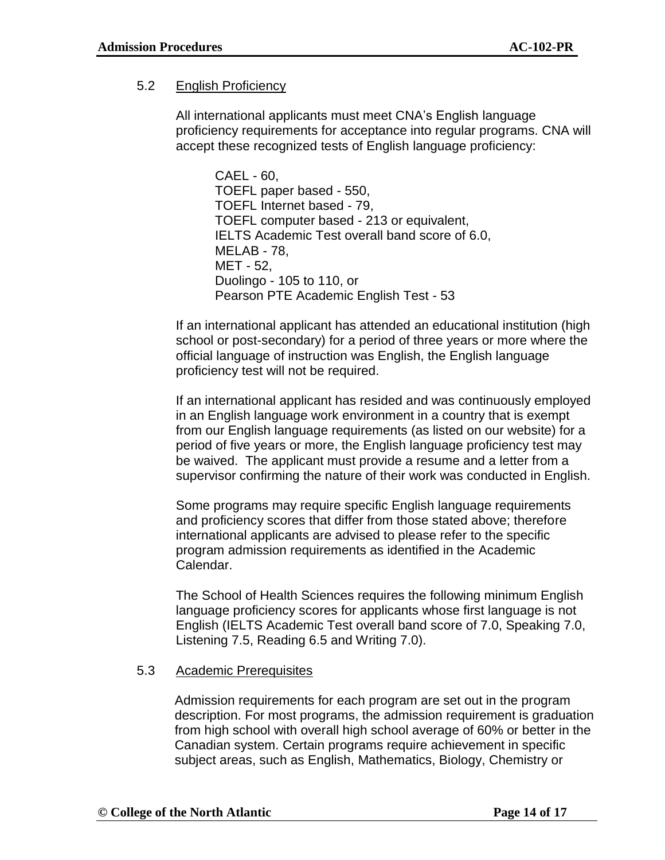## 5.2 English Proficiency

All international applicants must meet CNA's English language proficiency requirements for acceptance into regular programs. CNA will accept these recognized tests of English language proficiency:

CAEL - 60, TOEFL paper based - 550, TOEFL Internet based - 79, TOEFL computer based - 213 or equivalent, IELTS Academic Test overall band score of 6.0, MELAB - 78, MET - 52, Duolingo - 105 to 110, or Pearson PTE Academic English Test - 53

If an international applicant has attended an educational institution (high school or post-secondary) for a period of three years or more where the official language of instruction was English, the English language proficiency test will not be required.

If an international applicant has resided and was continuously employed in an English language work environment in a country that is exempt from our English language requirements (as listed on our website) for a period of five years or more, the English language proficiency test may be waived. The applicant must provide a resume and a letter from a supervisor confirming the nature of their work was conducted in English.

Some programs may require specific English language requirements and proficiency scores that differ from those stated above; therefore international applicants are advised to please refer to the specific program admission requirements as identified in the Academic Calendar.

The School of Health Sciences requires the following minimum English language proficiency scores for applicants whose first language is not English (IELTS Academic Test overall band score of 7.0, Speaking 7.0, Listening 7.5, Reading 6.5 and Writing 7.0).

## 5.3 Academic Prerequisites

Admission requirements for each program are set out in the program description. For most programs, the admission requirement is graduation from high school with overall high school average of 60% or better in the Canadian system. Certain programs require achievement in specific subject areas, such as English, Mathematics, Biology, Chemistry or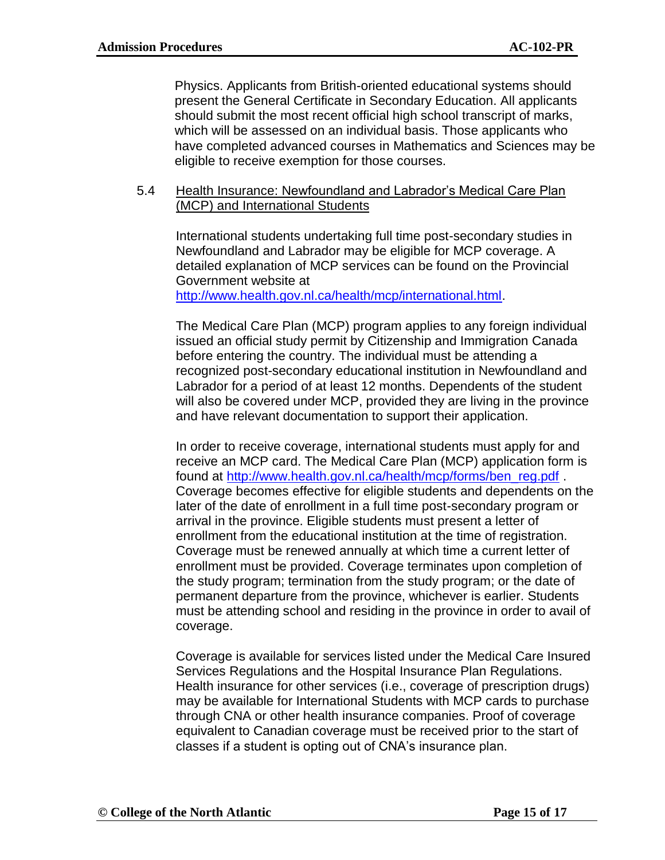Physics. Applicants from British-oriented educational systems should present the General Certificate in Secondary Education. All applicants should submit the most recent official high school transcript of marks, which will be assessed on an individual basis. Those applicants who have completed advanced courses in Mathematics and Sciences may be eligible to receive exemption for those courses.

### 5.4 Health Insurance: Newfoundland and Labrador's Medical Care Plan (MCP) and International Students

International students undertaking full time post-secondary studies in Newfoundland and Labrador may be eligible for MCP coverage. A detailed explanation of MCP services can be found on the Provincial Government website at

[http://www.health.gov.nl.ca/health/mcp/international.html.](http://www.health.gov.nl.ca/health/mcp/international.html)

The Medical Care Plan (MCP) program applies to any foreign individual issued an official study permit by Citizenship and Immigration Canada before entering the country. The individual must be attending a recognized post-secondary educational institution in Newfoundland and Labrador for a period of at least 12 months. Dependents of the student will also be covered under MCP, provided they are living in the province and have relevant documentation to support their application.

In order to receive coverage, international students must apply for and receive an MCP card. The Medical Care Plan (MCP) application form is found at [http://www.health.gov.nl.ca/health/mcp/forms/ben\\_reg.pdf](http://www.health.gov.nl.ca/health/mcp/forms/ben_reg.pdf) . Coverage becomes effective for eligible students and dependents on the later of the date of enrollment in a full time post-secondary program or arrival in the province. Eligible students must present a letter of enrollment from the educational institution at the time of registration. Coverage must be renewed annually at which time a current letter of enrollment must be provided. Coverage terminates upon completion of the study program; termination from the study program; or the date of permanent departure from the province, whichever is earlier. Students must be attending school and residing in the province in order to avail of coverage.

Coverage is available for services listed under the Medical Care Insured Services Regulations and the Hospital Insurance Plan Regulations. Health insurance for other services (i.e., coverage of prescription drugs) may be available for International Students with MCP cards to purchase through CNA or other health insurance companies. Proof of coverage equivalent to Canadian coverage must be received prior to the start of classes if a student is opting out of CNA's insurance plan.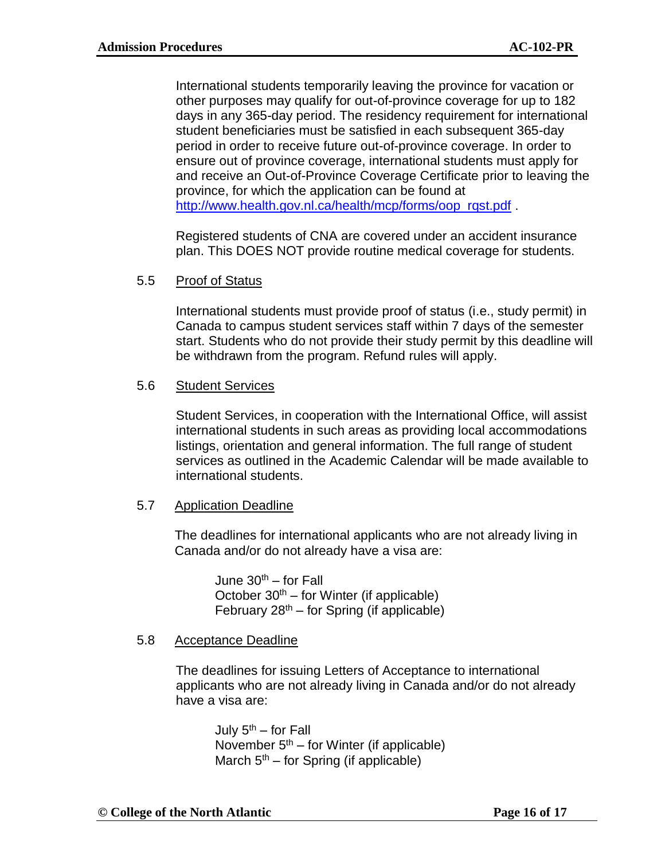International students temporarily leaving the province for vacation or other purposes may qualify for out-of-province coverage for up to 182 days in any 365-day period. The residency requirement for international student beneficiaries must be satisfied in each subsequent 365-day period in order to receive future out-of-province coverage. In order to ensure out of province coverage, international students must apply for and receive an Out-of-Province Coverage Certificate prior to leaving the province, for which the application can be found at [http://www.health.gov.nl.ca/health/mcp/forms/oop\\_rqst.pdf](http://www.health.gov.nl.ca/health/mcp/forms/oop_rqst.pdf) .

Registered students of CNA are covered under an accident insurance plan. This DOES NOT provide routine medical coverage for students.

### 5.5 Proof of Status

International students must provide proof of status (i.e., study permit) in Canada to campus student services staff within 7 days of the semester start. Students who do not provide their study permit by this deadline will be withdrawn from the program. Refund rules will apply.

### 5.6 Student Services

Student Services, in cooperation with the International Office, will assist international students in such areas as providing local accommodations listings, orientation and general information. The full range of student services as outlined in the Academic Calendar will be made available to international students.

## 5.7 Application Deadline

The deadlines for international applicants who are not already living in Canada and/or do not already have a visa are:

June  $30<sup>th</sup>$  – for Fall October  $30<sup>th</sup>$  – for Winter (if applicable) February  $28<sup>th</sup> -$  for Spring (if applicable)

## 5.8 Acceptance Deadline

The deadlines for issuing Letters of Acceptance to international applicants who are not already living in Canada and/or do not already have a visa are:

July  $5<sup>th</sup>$  – for Fall November  $5<sup>th</sup>$  – for Winter (if applicable) March  $5<sup>th</sup>$  – for Spring (if applicable)